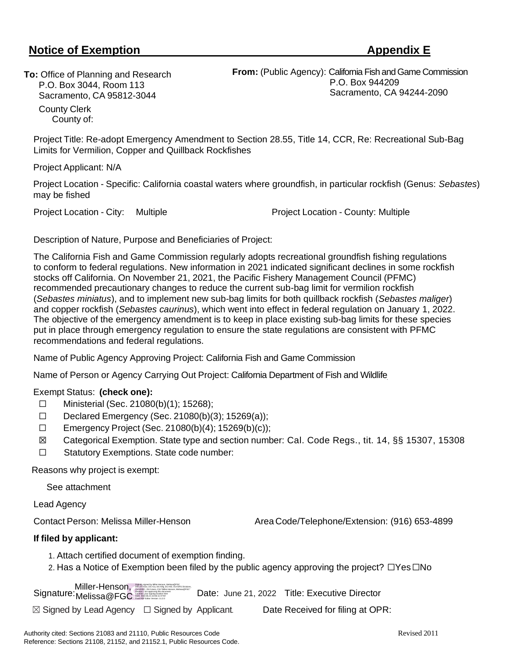# **Notice of Exemption Appendix E**

**To:** Office of Planning and Research P.O. Box 3044, Room 113 Sacramento, CA 95812-3044 County Clerk County of:

**From:** (Public Agency): California Fish and Game Commission P.O. Box 944209 Sacramento, CA 94244-2090

Project Title: Re-adopt Emergency Amendment to Section 28.55, Title 14, CCR, Re: Recreational Sub-Bag Limits for Vermilion, Copper and Quillback Rockfishes

Project Applicant: N/A

Project Location - Specific: California coastal waters where groundfish, in particular rockfish (Genus: *Sebastes*) may be fished

Project Location - City: Multiple Project Location - County: Multiple

Description of Nature, Purpose and Beneficiaries of Project:

The California Fish and Game Commission regularly adopts recreational groundfish fishing regulations to conform to federal regulations. New information in 2021 indicated significant declines in some rockfish stocks off California. On November 21, 2021, the Pacific Fishery Management Council (PFMC) recommended precautionary changes to reduce the current sub-bag limit for vermilion rockfish (*Sebastes miniatus*), and to implement new sub-bag limits for both quillback rockfish (*Sebastes maliger*) and copper rockfish (*Sebastes caurinus*), which went into effect in federal regulation on January 1, 2022. The objective of the emergency amendment is to keep in place existing sub-bag limits for these species put in place through emergency regulation to ensure the state regulations are consistent with PFMC recommendations and federal regulations.

Name of Public Agency Approving Project: California Fish and Game Commission

Name of Person or Agency Carrying Out Project: California Department of Fish and Wildlife

#### Exempt Status: **(check one):**

- ☐ Ministerial (Sec. 21080(b)(1); 15268);
- $\Box$  Declared Emergency (Sec. 21080(b)(3); 15269(a));
- ☐ Emergency Project (Sec. 21080(b)(4); 15269(b)(c));
- ☒ Categorical Exemption. State type and section number: Cal. Code Regs., tit. 14, §§ 15307, 15308
- ☐ Statutory Exemptions. State code number:

Reasons why project is exempt:

See attachment

Lead Agency

Contact Person: Melissa Miller-Henson Area Code/Telephone/Extension: (916) 653-4899

#### **If filed by applicant:**

- 1. Attach certified document of exemption finding.
- 2. Has a Notice of Exemption been filed by the public agency approving the project? □Yes□No

Signature: Melissa@FGC Marian Date: June 21, 2022 Title: Executive Director Digitally signed by Miller-Henson, Melissa@FGIC<br>ON: DC: Gov, DC: Ca, DC: Miller-Henson, Melissa@FGIC<br>OUHEXEC, OU-Hisers, ON="Miller-Henson, Melissa@FGC"<br>Reason(I) am approving this document<br>Data 2022: 08:21 22:06:11-0700<br>D Miller-Henson, Melissa@FGC

 $\boxtimes$  Signed by Lead Agency  $\Box$  Signed by Applicant. Date Received for filing at OPR: